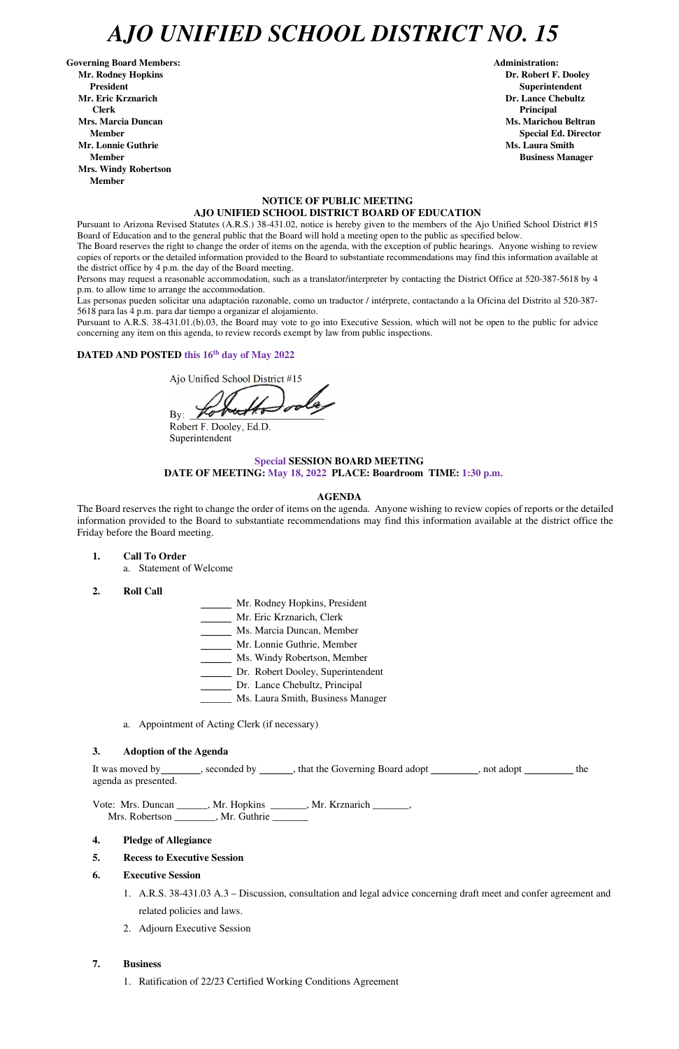## *AJO UNIFIED SCHOOL DISTRICT NO. 15*

Governing Board Members: **Administration: Administration: Administration: Mr. Rodney Hopkins Dr. Robert F. Dooley President Superintendent in the set of the set of the set of the set of the set of the Superintendent Superintendent Mr. Eric Krznarich Dr. Lance Chebultz Clerk Principal Mrs. Marcia Duncan Ms. Marichou Beltran Ms. Marichou Beltran Mr. Lonnie Guthrie Ms. Laura Smith And All And All And All And All And All And All And All And All And All And All And All And All And All And All And All And All And All And All And All And All And All And All And All A Member Business Manager Business Manager Business Manager Mrs. Windy Robertson Member** 

## **NOTICE OF PUBLIC MEETING AJO UNIFIED SCHOOL DISTRICT BOARD OF EDUCATION**

Pursuant to Arizona Revised Statutes (A.R.S.) 38-431.02, notice is hereby given to the members of the Ajo Unified School District #15 Board of Education and to the general public that the Board will hold a meeting open to the public as specified below.

The Board reserves the right to change the order of items on the agenda, with the exception of public hearings. Anyone wishing to review copies of reports or the detailed information provided to the Board to substantiate recommendations may find this information available at the district office by 4 p.m. the day of the Board meeting.

Persons may request a reasonable accommodation, such as a translator/interpreter by contacting the District Office at 520-387-5618 by 4 p.m. to allow time to arrange the accommodation.

Las personas pueden solicitar una adaptación razonable, como un traductor / intérprete, contactando a la Oficina del Distrito al 520-387- 5618 para las 4 p.m. para dar tiempo a organizar el alojamiento.

It was moved by \_\_\_\_\_\_\_, seconded by \_\_\_\_\_\_, that the Governing Board adopt \_\_\_\_\_\_\_, not adopt \_\_\_\_\_\_\_\_ the agenda as presented.

Vote: Mrs. Duncan \_\_\_\_\_\_, Mr. Hopkins \_\_\_\_\_\_\_, Mr. Krznarich \_\_\_\_\_\_\_, Mrs. Robertson \_\_\_\_\_\_\_\_, Mr. Guthrie \_\_\_\_\_\_\_

Pursuant to A.R.S. 38-431.01.(b).03, the Board may vote to go into Executive Session, which will not be open to the public for advice concerning any item on this agenda, to review records exempt by law from public inspections.

### **DATED AND POSTED this 16th day of May 2022**

Ajo Unified School District #15

By:  $\angle$ 

Robert F. Dooley, Ed.D. Superintendent

## **Special SESSION BOARD MEETING DATE OF MEETING: May 18, 2022 PLACE: Boardroom TIME: 1:30 p.m.**

#### **AGENDA**

The Board reserves the right to change the order of items on the agenda. Anyone wishing to review copies of reports or the detailed information provided to the Board to substantiate recommendations may find this information available at the district office the Friday before the Board meeting.

- **1. Call To Order** 
	- a. Statement of Welcome
- **2. Roll Call**
- Mr. Rodney Hopkins, President
- Mr. Eric Krznarich, Clerk
- Ms. Marcia Duncan, Member
- Mr. Lonnie Guthrie, Member
- Ms. Windy Robertson, Member
- Dr. Robert Dooley, Superintendent
- Dr. Lance Chebultz, Principal
- \_\_\_\_\_\_ Ms. Laura Smith, Business Manager
- a. Appointment of Acting Clerk (if necessary)

#### **3. Adoption of the Agenda**

**Member** Special Ed. Director **Special Ed. Director** 

- **4. Pledge of Allegiance**
- **5. Recess to Executive Session**
- **6. Executive Session**

1. A.R.S. 38-431.03 A.3 – Discussion, consultation and legal advice concerning draft meet and confer agreement and related policies and laws.

- 2. Adjourn Executive Session
- **7. Business** 
	- 1. Ratification of 22/23 Certified Working Conditions Agreement